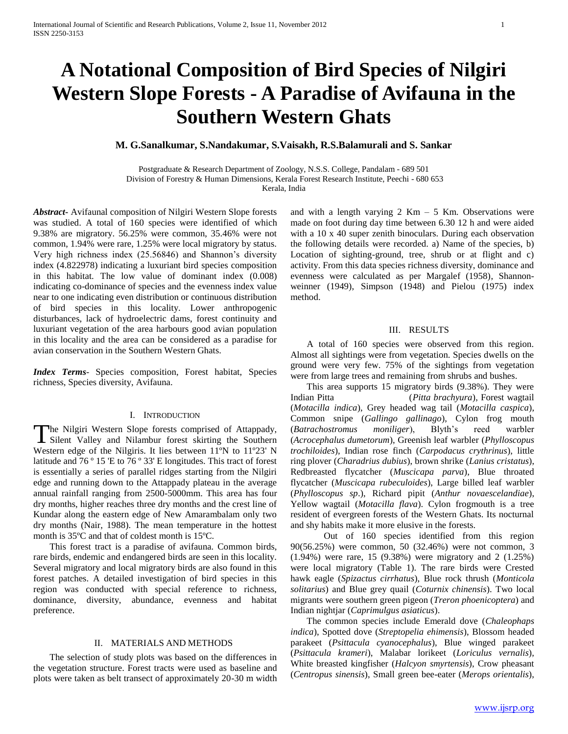# **A Notational Composition of Bird Species of Nilgiri Western Slope Forests - A Paradise of Avifauna in the Southern Western Ghats**

# **M. G.Sanalkumar, S.Nandakumar, S.Vaisakh, R.S.Balamurali and S. Sankar**

Postgraduate & Research Department of Zoology, N.S.S. College, Pandalam - 689 501 Division of Forestry & Human Dimensions, Kerala Forest Research Institute, Peechi - 680 653 Kerala, India

*Abstract***-** Avifaunal composition of Nilgiri Western Slope forests was studied. A total of 160 species were identified of which 9.38% are migratory. 56.25% were common, 35.46% were not common, 1.94% were rare, 1.25% were local migratory by status. Very high richness index (25.56846) and Shannon's diversity index (4.822978) indicating a luxuriant bird species composition in this habitat. The low value of dominant index (0.008) indicating co-dominance of species and the evenness index value near to one indicating even distribution or continuous distribution of bird species in this locality. Lower anthropogenic disturbances, lack of hydroelectric dams, forest continuity and luxuriant vegetation of the area harbours good avian population in this locality and the area can be considered as a paradise for avian conservation in the Southern Western Ghats.

*Index Terms*- Species composition, Forest habitat, Species richness, Species diversity, Avifauna.

### I. INTRODUCTION

The Nilgiri Western Slope forests comprised of Attappady,<br>
Silent Valley and Nilambur forest skirting the Southern I Silent Valley and Nilambur forest skirting the Southern Western edge of the Nilgiris. It lies between 11ºN to 11º23' N latitude and 76 º 15 'E to 76 º 33' E longitudes. This tract of forest is essentially a series of parallel ridges starting from the Nilgiri edge and running down to the Attappady plateau in the average annual rainfall ranging from 2500-5000mm. This area has four dry months, higher reaches three dry months and the crest line of Kundar along the eastern edge of New Amarambalam only two dry months (Nair, 1988). The mean temperature in the hottest month is 35ºC and that of coldest month is 15ºC.

 This forest tract is a paradise of avifauna. Common birds, rare birds, endemic and endangered birds are seen in this locality. Several migratory and local migratory birds are also found in this forest patches. A detailed investigation of bird species in this region was conducted with special reference to richness, dominance, diversity, abundance, evenness and habitat preference.

## II. MATERIALS AND METHODS

 The selection of study plots was based on the differences in the vegetation structure. Forest tracts were used as baseline and plots were taken as belt transect of approximately 20-30 m width and with a length varying  $2$  Km  $-$  5 Km. Observations were made on foot during day time between 6.30 12 h and were aided with a 10 x 40 super zenith binoculars. During each observation the following details were recorded. a) Name of the species, b) Location of sighting-ground, tree, shrub or at flight and c) activity. From this data species richness diversity, dominance and evenness were calculated as per Margalef (1958), Shannonweinner (1949), Simpson (1948) and Pielou (1975) index method.

## III. RESULTS

 A total of 160 species were observed from this region. Almost all sightings were from vegetation. Species dwells on the ground were very few. 75% of the sightings from vegetation were from large trees and remaining from shrubs and bushes.

 This area supports 15 migratory birds (9.38%). They were Indian Pitta (*Pitta brachyura*), Forest wagtail (*Motacilla indica*), Grey headed wag tail (*Motacilla caspica*), Common snipe (*Gallingo gallinago*), Cylon frog mouth (*Batrachostromus moniliger*), Blyth's reed warbler (*Acrocephalus dumetorum*), Greenish leaf warbler (*Phylloscopus trochiloides*), Indian rose finch (*Carpodacus crythrinus*), little ring plover (*Charadrius dubius*), brown shrike (*Lanius cristatus*), Redbreasted flycatcher (*Muscicapa parva*), Blue throated flycatcher (*Muscicapa rubeculoides*), Large billed leaf warbler (*Phylloscopus sp*.), Richard pipit (*Anthur novaescelandiae*), Yellow wagtail (*Motacilla flava*). Cylon frogmouth is a tree resident of evergreen forests of the Western Ghats. Its nocturnal and shy habits make it more elusive in the forests.

Out of 160 species identified from this region 90(56.25%) were common, 50 (32.46%) were not common, 3 (1.94%) were rare, 15 (9.38%) were migratory and 2 (1.25%) were local migratory (Table 1). The rare birds were Crested hawk eagle (*Spizactus cirrhatus*), Blue rock thrush (*Monticola solitarius*) and Blue grey quail (*Coturnix chinensis*). Two local migrants were southern green pigeon (*Treron phoenicoptera*) and Indian nightjar (*Caprimulgus asiaticus*).

 The common species include Emerald dove (*Chaleophaps indica*), Spotted dove (*Streptopelia ehimensis*), Blossom headed parakeet (*Psittacula cyanocephalus*), Blue winged parakeet (*Psittacula krameri*), Malabar lorikeet (*Loriculus vernalis*), White breasted kingfisher (*Halcyon smyrtensis*), Crow pheasant (*Centropus sinensis*), Small green bee-eater (*Merops orientalis*),